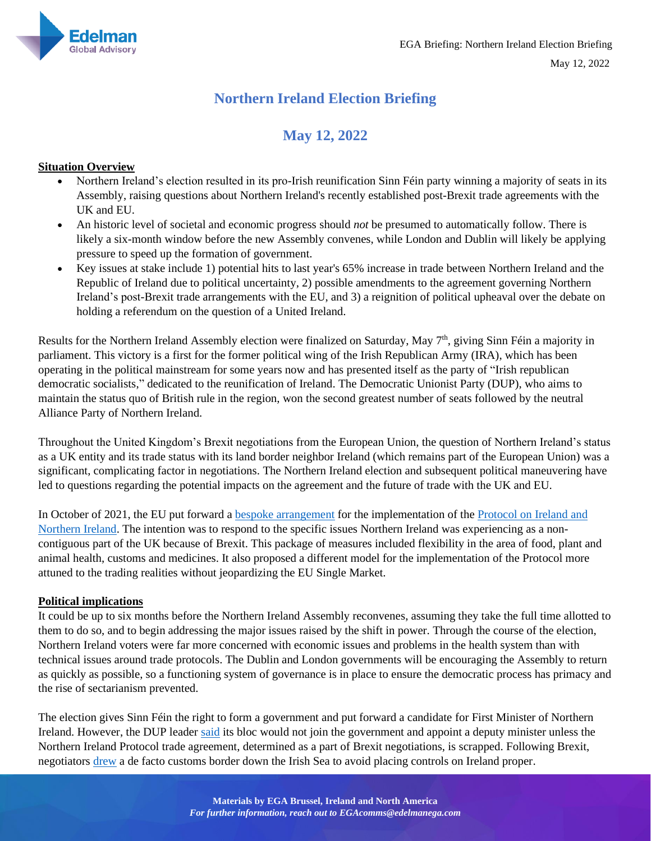

Materials by Stefan Borst, Feargal Purcell,

## **Northern Ireland Election Briefing**

# **May 12, 2022**

## **Situation Overview**

- Northern Ireland's election resulted in its pro-Irish reunification Sinn Féin party winning a majority of seats in its Assembly, raising questions about Northern Ireland's recently established post-Brexit trade agreements with the UK and EU.
- An historic level of societal and economic progress should *not* be presumed to automatically follow. There is likely a six-month window before the new Assembly convenes, while London and Dublin will likely be applying pressure to speed up the formation of government.
- Key issues at stake include 1) potential hits to last year's 65% increase in trade between Northern Ireland and the Republic of Ireland due to political uncertainty, 2) possible amendments to the agreement governing Northern Ireland's post-Brexit trade arrangements with the EU, and 3) a reignition of political upheaval over the debate on holding a referendum on the question of a United Ireland.

Results for the Northern Ireland Assembly election were finalized on Saturday, May 7<sup>th</sup>, giving Sinn Féin a majority in parliament. This victory is a first for the former political wing of the Irish Republican Army (IRA), which has been operating in the political mainstream for some years now and has presented itself as the party of "Irish republican democratic socialists," dedicated to the reunification of Ireland. The Democratic Unionist Party (DUP), who aims to maintain the status quo of British rule in the region, won the second greatest number of seats followed by the neutral Alliance Party of Northern Ireland.

Throughout the United Kingdom's Brexit negotiations from the European Union, the question of Northern Ireland's status as a UK entity and its trade status with its land border neighbor Ireland (which remains part of the European Union) was a significant, complicating factor in negotiations. The Northern Ireland election and subsequent political maneuvering have led to questions regarding the potential impacts on the agreement and the future of trade with the UK and EU.

In October of 2021, the EU put forward a [bespoke arrangement](https://ec.europa.eu/commission/presscorner/api/files/document/print/en/ip_21_5215/IP_21_5215_EN.pdf) for the implementation of the [Protocol on Ireland and](https://eur-lex.europa.eu/legal-content/EN/TXT/?uri=CELEX%3A12020W/TXT)  [Northern Ireland.](https://eur-lex.europa.eu/legal-content/EN/TXT/?uri=CELEX%3A12020W/TXT) The intention was to respond to the specific issues Northern Ireland was experiencing as a noncontiguous part of the UK because of Brexit. This package of measures included flexibility in the area of food, plant and animal health, customs and medicines. It also proposed a different model for the implementation of the Protocol more attuned to the trading realities without jeopardizing the EU Single Market.

## **Political implications**

It could be up to six months before the Northern Ireland Assembly reconvenes, assuming they take the full time allotted to them to do so, and to begin addressing the major issues raised by the shift in power. Through the course of the election, Northern Ireland voters were far more concerned with economic issues and problems in the health system than with technical issues around trade protocols. The Dublin and London governments will be encouraging the Assembly to return as quickly as possible, so a functioning system of governance is in place to ensure the democratic process has primacy and the rise of sectarianism prevented.

The election gives Sinn Féin the right to form a government and put forward a candidate for First Minister of Northern Ireland. However, the DUP leader [said](https://www.reuters.com/world/uk/sinn-fein-calls-united-ireland-debate-after-historic-election-win-2022-05-07/) its bloc would not join the government and appoint a deputy minister unless the Northern Ireland Protocol trade agreement, determined as a part of Brexit negotiations, is scrapped. Following Brexit, negotiators [drew](https://www.bbc.com/news/uk-politics-50079385) a de facto customs border down the Irish Sea to avoid placing controls on Ireland proper.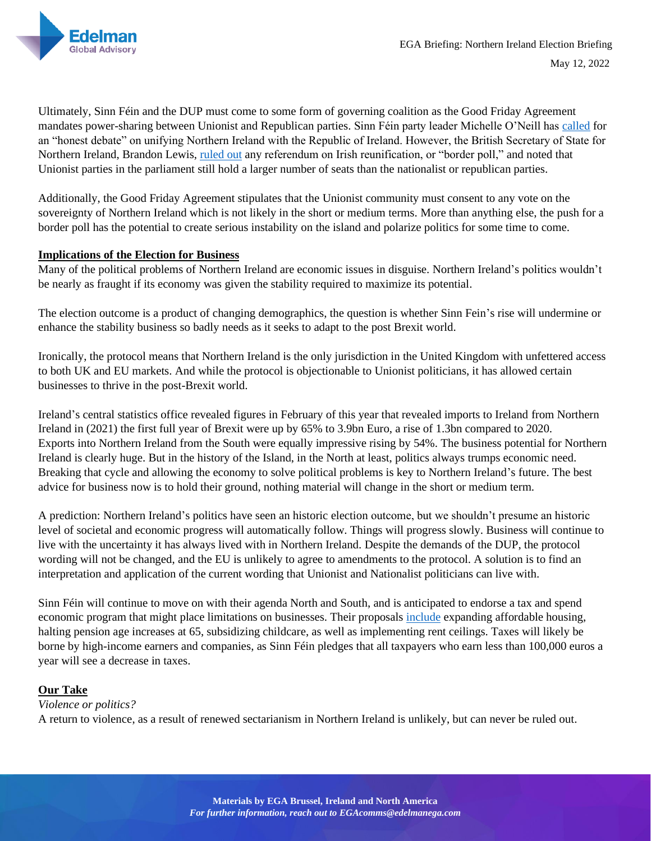

Materials by Stefan Borst, Feargal Purcell,

Ultimately, Sinn Féin and the DUP must come to some form of governing coalition as the Good Friday Agreement mandates power-sharing between Unionist and Republican parties. Sinn Féin party leader Michelle O'Neill ha[s called](https://www.usnews.com/news/world/articles/2022-05-07/sinn-fein-calls-for-united-ireland-debate-after-historic-election-win) for an "honest debate" on unifying Northern Ireland with the Republic of Ireland. However, the British Secretary of State for Northern Ireland, Brandon Lewis, [ruled out](https://www.belfastlive.co.uk/news/northern-ireland/northern-ireland-election-border-poll-23897907?recirculation_test=true) any referendum on Irish reunification, or "border poll," and noted that Unionist parties in the parliament still hold a larger number of seats than the nationalist or republican parties.

Additionally, the Good Friday Agreement stipulates that the Unionist community must consent to any vote on the sovereignty of Northern Ireland which is not likely in the short or medium terms. More than anything else, the push for a border poll has the potential to create serious instability on the island and polarize politics for some time to come.

#### **Implications of the Election for Business**

Many of the political problems of Northern Ireland are economic issues in disguise. Northern Ireland's politics wouldn't be nearly as fraught if its economy was given the stability required to maximize its potential.

The election outcome is a product of changing demographics, the question is whether Sinn Fein's rise will undermine or enhance the stability business so badly needs as it seeks to adapt to the post Brexit world.

Ironically, the protocol means that Northern Ireland is the only jurisdiction in the United Kingdom with unfettered access to both UK and EU markets. And while the protocol is objectionable to Unionist politicians, it has allowed certain businesses to thrive in the post-Brexit world.

Ireland's central statistics office revealed figures in February of this year that revealed imports to Ireland from Northern Ireland in (2021) the first full year of Brexit were up by 65% to 3.9bn Euro, a rise of 1.3bn compared to 2020. Exports into Northern Ireland from the South were equally impressive rising by 54%. The business potential for Northern Ireland is clearly huge. But in the history of the Island, in the North at least, politics always trumps economic need. Breaking that cycle and allowing the economy to solve political problems is key to Northern Ireland's future. The best advice for business now is to hold their ground, nothing material will change in the short or medium term.

A prediction: Northern Ireland's politics have seen an historic election outcome, but we shouldn't presume an historic level of societal and economic progress will automatically follow. Things will progress slowly. Business will continue to live with the uncertainty it has always lived with in Northern Ireland. Despite the demands of the DUP, the protocol wording will not be changed, and the EU is unlikely to agree to amendments to the protocol. A solution is to find an interpretation and application of the current wording that Unionist and Nationalist politicians can live with.

Sinn Féin will continue to move on with their agenda North and South, and is anticipated to endorse a tax and spend economic program that might place limitations on businesses. Their proposals [include](https://www.sinnfein.ie/what-sinn-fein-stands-for) expanding affordable housing, halting pension age increases at 65, subsidizing childcare, as well as implementing rent ceilings. Taxes will likely be borne by high-income earners and companies, as Sinn Féin pledges that all taxpayers who earn less than 100,000 euros a year will see a decrease in taxes.

## **Our Take**

## *Violence or politics?*

A return to violence, as a result of renewed sectarianism in Northern Ireland is unlikely, but can never be ruled out.